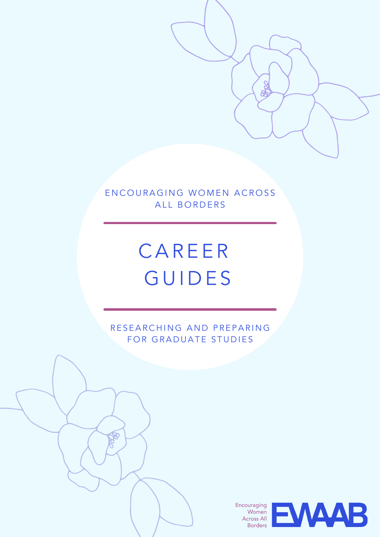#### EN COURAGING WOMEN ACROSS ALL BORDERS

Steel

# **CAREER GUIDES**

RESEARCHING AND PREPARING FOR GRADUATE STUDIES

**Borders** 

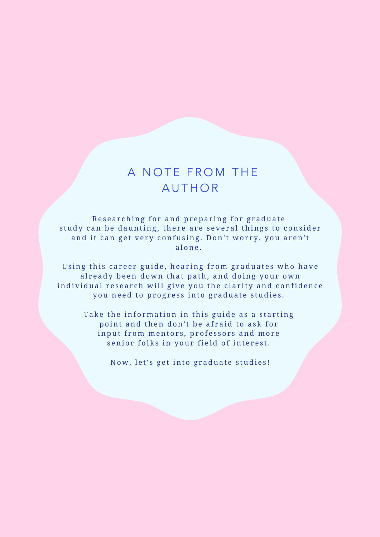## A NOTE FROM THE **AUTHOR**

Researching for and preparing for graduate study can be daunting, there are several things to consider and it can get very confusing. Don't worry, you aren't alone.

Using this career guide, hearing from graduates who have already been down that path, and doing your own individual research will give you the clarity and confidence you need to progress into graduate studies.

Take the information in this guide as a starting point and then don't be afraid to ask for input from mentors, professors and more senior folks in your field of interest.

Now, let's get into graduate studies!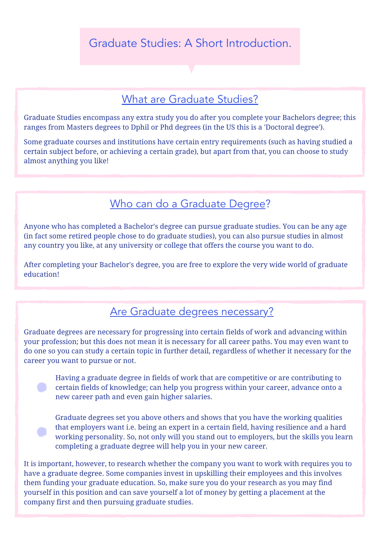#### Graduate Studies: A Short Introduction.

#### What are Graduate Studies?

Graduate Studies encompass any extra study you do after you complete your Bachelors degree; this ranges from Masters degrees to Dphil or Phd degrees (in the US this is a 'Doctoral degree').

Some graduate courses and institutions have certain entry requirements (such as having studied a certain subject before, or achieving a certain grade), but apart from that, you can choose to study almost anything you like!

Who can do a Graduate Degree?

Anyone who has completed a Bachelor's degree can pursue graduate studies. You can be any age (in fact some retired people chose to do graduate studies), you can also pursue studies in almost any country you like, at any university or college that offers the course you want to do.

After completing your Bachelor's degree, you are free to explore the very wide world of graduate education!

#### Are Graduate degrees necessary?

Graduate degrees are necessary for progressing into certain fields of work and advancing within your profession; but this does not mean it is necessary for all career paths. You may even want to do one so you can study a certain topic in further detail, regardless of whether it necessary for the career you want to pursue or not.

Having a graduate degree in fields of work that are competitive or are contributing to certain fields of knowledge; can help you progress within your career, advance onto a new career path and even gain higher salaries.

Graduate degrees set you above others and shows that you have the working qualities that employers want i.e. being an expert in a certain field, having resilience and a hard working personality. So, not only will you stand out to employers, but the skills you learn completing a graduate degree will help you in your new career.

It is important, however, to research whether the company you want to work with requires you to have a graduate degree. Some companies invest in upskilling their employees and this involves them funding your graduate education. So, make sure you do your research as you may find yourself in this position and can save yourself a lot of money by getting a placement at the company first and then pursuing graduate studies.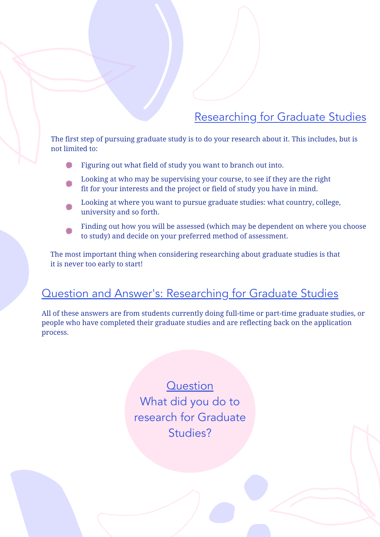#### Researching for Graduate Studies

The first step of pursuing graduate study is to do your research about it. This includes, but is not limited to:

- Figuring out what field of study you want to branch out into.
- Looking at who may be supervising your course, to see if they are the right fit for your interests and the project or field of study you have in mind.
- Looking at where you want to pursue graduate studies: what country, college, university and so forth.
- Finding out how you will be assessed (which may be dependent on where you choose to study) and decide on your preferred method of assessment.

The most important thing when considering researching about graduate studies is that it is never too early to start!

#### Question and Answer's: Researching for Graduate Studies

All of these answers are from students currently doing full-time or part-time graduate studies, or people who have completed their graduate studies and are reflecting back on the application process.

> **Question** What did you do to research for Graduate Studies?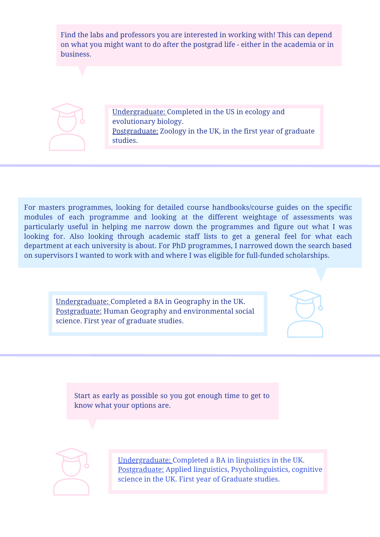Find the labs and professors you are interested in working with! This can depend on what you might want to do after the postgrad life - either in the academia or in business.



Undergraduate: Completed in the US in ecology and evolutionary biology. Postgraduate: Zoology in the UK, in the first year of graduate studies.

For masters programmes, looking for detailed course handbooks/course guides on the specific modules of each programme and looking at the different weightage of assessments was particularly useful in helping me narrow down the programmes and figure out what I was looking for. Also looking through academic staff lists to get a general feel for what each department at each university is about. For PhD programmes, I narrowed down the search based on supervisors I wanted to work with and where I was eligible for full-funded scholarships.

Undergraduate: Completed a BA in Geography in the UK. Postgraduate: Human Geography and environmental social science. First year of graduate studies.

Start as early as possible so you got enough time to get to know what your options are.



Undergraduate: Completed a BA in linguistics in the UK. Postgraduate: Applied linguistics, Psycholinguistics, cognitive science in the UK. First year of Graduate studies.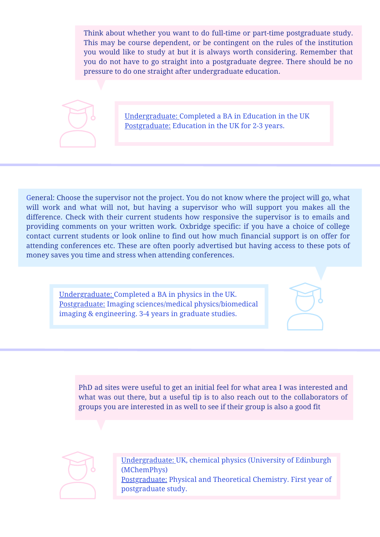Think about whether you want to do full-time or part-time postgraduate study. This may be course dependent, or be contingent on the rules of the institution you would like to study at but it is always worth considering. Remember that you do not have to go straight into a postgraduate degree. There should be no pressure to do one straight after undergraduate education.



Undergraduate: Completed a BA in Education in the UK Postgraduate: Education in the UK for 2-3 years.

General: Choose the supervisor not the project. You do not know where the project will go, what will work and what will not, but having a supervisor who will support you makes all the difference. Check with their current students how responsive the supervisor is to emails and providing comments on your written work. Oxbridge specific: if you have a choice of college contact current students or look online to find out how much financial support is on offer for attending conferences etc. These are often poorly advertised but having access to these pots of money saves you time and stress when attending conferences.

> Undergraduate: Completed a BA in physics in the UK. Postgraduate: Imaging sciences/medical physics/biomedical imaging & engineering. 3-4 years in graduate studies.

PhD ad sites were useful to get an initial feel for what area I was interested and what was out there, but a useful tip is to also reach out to the collaborators of groups you are interested in as well to see if their group is also a good fit



Undergraduate: UK, chemical physics (University of Edinburgh (MChemPhys) Postgraduate: Physical and Theoretical Chemistry. First year of postgraduate study.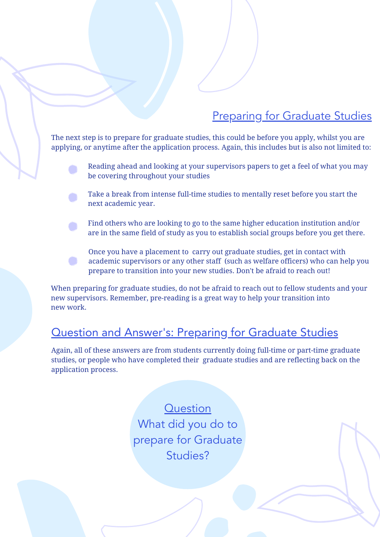#### **Preparing for Graduate Studies**

The next step is to prepare for graduate studies, this could be before you apply, whilst you are applying, or anytime after the application process. Again, this includes but is also not limited to:

- Reading ahead and looking at your supervisors papers to get a feel of what you may be covering throughout your studies
- Take a break from intense full-time studies to mentally reset before you start the next academic year.
- Find others who are looking to go to the same higher education institution and/or are in the same field of study as you to establish social groups before you get there.
	- Once you have a placement to carry out graduate studies, get in contact with academic supervisors or any other staff (such as welfare officers) who can help you prepare to transition into your new studies. Don't be afraid to reach out!

When preparing for graduate studies, do not be afraid to reach out to fellow students and your new supervisors. Remember, pre-reading is a great way to help your transition into new work.

#### Question and Answer's: Preparing for Graduate Studies

Again, all of these answers are from students currently doing full-time or part-time graduate studies, or people who have completed their graduate studies and are reflecting back on the application process.

> **Question** What did you do to prepare for Graduate Studies?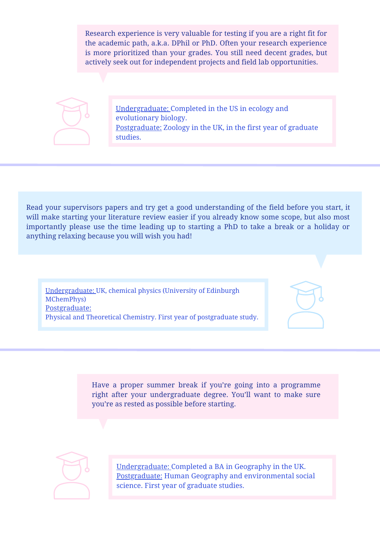Research experience is very valuable for testing if you are a right fit for the academic path, a.k.a. DPhil or PhD. Often your research experience is more prioritized than your grades. You still need decent grades, but actively seek out for independent projects and field lab opportunities.



Undergraduate: Completed in the US in ecology and evolutionary biology. Postgraduate: Zoology in the UK, in the first year of graduate studies.

Read your supervisors papers and try get a good understanding of the field before you start, it will make starting your literature review easier if you already know some scope, but also most importantly please use the time leading up to starting a PhD to take a break or a holiday or anything relaxing because you will wish you had!

Undergraduate: UK, chemical physics (University of Edinburgh MChemPhys) Postgraduate: Physical and Theoretical Chemistry. First year of postgraduate study.



Have a proper summer break if you're going into a programme right after your undergraduate degree. You'll want to make sure you're as rested as possible before starting.



Undergraduate: Completed a BA in Geography in the UK. Postgraduate: Human Geography and environmental social science. First year of graduate studies.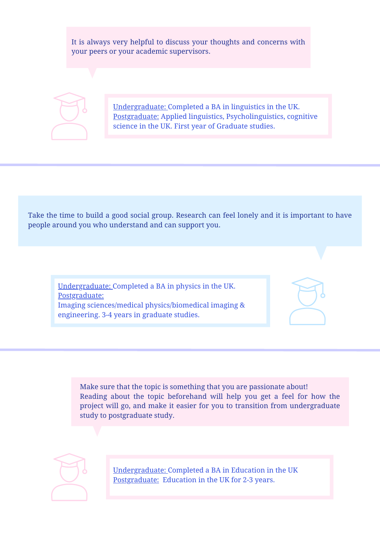It is always very helpful to discuss your thoughts and concerns with your peers or your academic supervisors.



Undergraduate: Completed a BA in linguistics in the UK. Postgraduate: Applied linguistics, Psycholinguistics, cognitive science in the UK. First year of Graduate studies.

Take the time to build a good social group. Research can feel lonely and it is important to have people around you who understand and can support you.

Undergraduate: Completed a BA in physics in the UK. Postgraduate: Imaging sciences/medical physics/biomedical imaging & engineering. 3-4 years in graduate studies.

> Make sure that the topic is something that you are passionate about! Reading about the topic beforehand will help you get a feel for how the project will go, and make it easier for you to transition from undergraduate study to postgraduate study.



Undergraduate: Completed a BA in Education in the UK Postgraduate: Education in the UK for 2-3 years.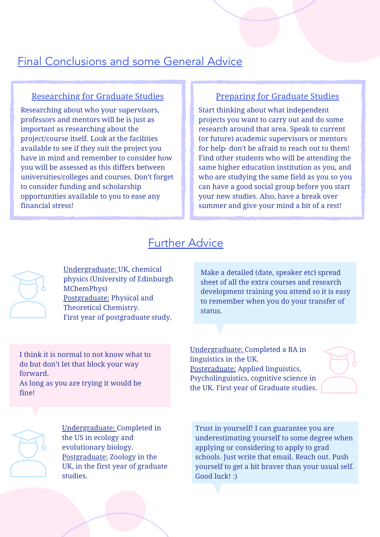#### Final Conclusions and some General Advice

#### Researching for Graduate Studies Preparing for Graduate Studies

Researching about who your supervisors, professors and mentors will be is just as important as researching about the project/course itself. Look at the facilities available to see if they suit the project you have in mind and remember to consider how you will be assessed as this differs between universities/colleges and courses. Don't forget to consider funding and scholarship opportunities available to you to ease any financial stress!

Start thinking about what independent projects you want to carry out and do some research around that area. Speak to current (or future) academic supervisors or mentors for help- don't be afraid to reach out to them! Find other students who will be attending the same higher education institution as you, and who are studying the same field as you so you can have a good social group before you start your new studies. Also, have a break over summer and give your mind a bit of a rest!

#### Further Advice



Undergraduate: UK, chemical physics (University of Edinburgh MChemPhys) Postgraduate: Physical and Theoretical Chemistry. First year of postgraduate study.

I think it is normal to not know what to do but don't let that block your way forward. As long as you are trying it would be

fine!

Undergraduate: Completed in the US in ecology and evolutionary biology. Postgraduate: Zoology in the UK, in the first year of graduate studies.

Make a detailed (date, speaker etc) spread sheet of all the extra courses and research development training you attend so it is easy to remember when you do your transfer of status.

Undergraduate: Completed a BA in linguistics in the UK. Postgraduate: Applied linguistics, Psycholinguistics, cognitive science in the UK. First year of Graduate studies.

Trust in yourself! I can guarantee you are underestimating yourself to some degree when applying or considering to apply to grad schools. Just write that email. Reach out. Push yourself to get a bit braver than your usual self. Good luck! :)